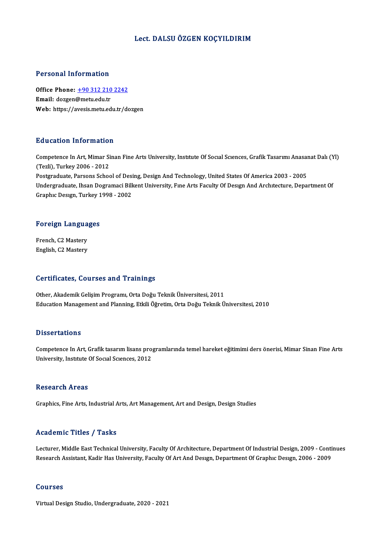#### Lect. DALSUÖZGEN KOÇYILDIRIM

#### Personal Information

Personal Information<br>Office Phone: <u>+90 312 210 2242</u><br>Email: deggen@metuedu.tr Fersonar micromation<br>Office Phone: <u>+90 312 210</u><br>Email: dozgen@metu.edu.tr Email: dozgen@metu.edu.tr<br>Web: https://a[vesis.metu.edu.tr/d](tel:+90 312 210 2242)ozgen

#### Education Information

Competence In Art, Mimar Sinan Fine Arts University, Institute Of Social Sciences, Grafik Tasarımı Anasanat Dalı (Yl) (Tezli),Turkey2006 -2012 Competence In Art, Mimar Sinan Fine Arts University, Institute Of Social Sciences, Grafik Tasarimi Anasai<br>(Tezli), Turkey 2006 - 2012<br>Postgraduate, Parsons School of Desing, Design And Technology, United States Of America Undergraduate, Ihsan Dogramaci Bilkent University, Fıne Arts Faculty Of Desıgn And Archıtecture, Department Of<br>Graphic Design, Turkey 1998 - 2002 Postgraduate, Parsons School of Desi<br>Undergraduate, Ihsan Dogramaci Bill<br>Graphıc Desıgn, Turkey 1998 - 2002

# Grapnic Design, Turkey I<br>Foreign Languages

F<mark>oreign Langua</mark><br>French, C2 Mastery<br>English C3 Mastery French, C2 Mastery<br>English, C2 Mastery

#### Certificates, Courses and Trainings

Other, Akademik Gelişim Programı, Orta Doğu Teknik Üniversitesi, 2011 Education Management and Planning, Etkili Öğretim, Orta Doğu Teknik Üniversitesi, 2010

#### **Dissertations**

Competence In Art, Grafik tasarım lisans programlarında temel hareket eğitimimi ders önerisi, Mimar Sinan Fine Arts University, Institute Of Social Sciences, 2012

#### **Research Areas**

Graphics, Fine Arts, Industrial Arts, Art Management, Art and Design, Design Studies

#### Academic Titles / Tasks

Lecturer, Middle East Technical University, Faculty Of Architecture, Department Of Industrial Design, 2009 - Continues Research Assistant, Kadir Has University, Faculty Of Art And Design, Department Of Graphic Design, 2006 - 2009

#### Courses

Virtual Design Studio, Undergraduate, 2020 - 2021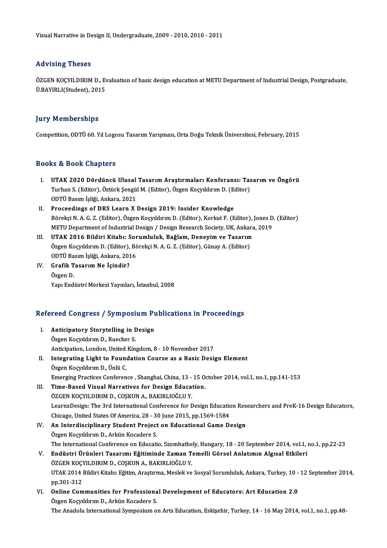## Advising Theses

ÖZGEN KOÇYILDIRIM D., Evaluation of basic design education at METU Department of Industrial Design, Postgraduate, Ü.BAYIRLI(Student),2015

### **Jury Memberships**

Competition,ODTÜ60.YılLogosuTasarımYarışması,OrtaDoğuTeknikÜniversitesi,February,2015

### Books&Book Chapters

- I. UTAK 2020 Dördüncü Ulusal Tasarım Araştırmaları Konferansı: Tasarım ve Öngörü to & Boon Ghapeers<br>UTAK 2020 Dördüncü Ulusal Tasarım Araştırmaları Konferansı: Tas<br>Turhan S. (Editor), Öztürk Şengül M. (Editor), Özgen Koçyıldırım D. (Editor)<br>ODTÜ Rasım İsliği, Ankara, 2021 UTAK 2020 Dördüncü Ulusal<br>Turhan S. (Editor), Öztürk Şengü<br>ODTÜ Basım İşliği, Ankara, 2021<br>Proceedings of DBS Learn Y I ODTÜ Basım İşliği, Ankara, 2021<br>II. Proceedings of DRS Learn X Design 2019: Insider Knowledge
- ODTÜ Basım İşliği, Ankara, 2021<br>Proceedings of DRS Learn X Design 2019: Insider Knowledge<br>Börekçi N. A. G. Z. (Editor), Özgen Koçyıldırım D. (Editor), Korkut F. (Editor), Jones D. (Editor)<br>METU Department of Industrial Des Proceedings of DRS Learn X Design 2019: Insider Knowledge<br>Börekçi N. A. G. Z. (Editor), Özgen Koçyıldırım D. (Editor), Korkut F. (Editor), Jones D<br>METU Department of Industrial Design / Design Research Society, UK, Ankara, Börekçi N. A. G. Z. (Editor), Özgen Koçyıldırım D. (Editor), Korkut F. (Editor), J<br>METU Department of Industrial Design / Design Research Society, UK, Ankara<br>III. UTAK 2016 Bildiri Kitabı: Sorumluluk, Bağlam, Deneyim ve Ta
- METU Department of Industrial Design / Design Research Society, UK, Ankara, 2019<br>III. UTAK 2016 Bildiri Kitabı: Sorumluluk, Bağlam, Deneyim ve Tasarım<br>Özgen Koçyıldırım D. (Editor), Börekçi N. A. G. Z. (Editor), Günay A. ( UTAK 2016 Bildiri Kitabı: Sor<br>Özgen Koçyıldırım D. (Editor), Bö<br>ODTÜ Basım İşliği, Ankara, 2016<br>Crafik Tasarım Na İsindir?
- IV. Grafik Tasarım Ne İçindir?<br>Özgen D. ODTÜ Ba<br>Gr<mark>afik T</mark><br>Özgen D.<br><sup>Voru Erd</sub></sup> Yapı Endüstri Merkezi Yayınları, İstanbul, 2008

# rapi Endustri Merkezi rayiniari, istanbui, 2008<br>Refereed Congress / Symposium Publications in Proceedings

| Refereed Congress / Symposium Publications in Proceedings |                                                                                                                   |
|-----------------------------------------------------------|-------------------------------------------------------------------------------------------------------------------|
| L.                                                        | Anticipatory Storytelling in Design                                                                               |
|                                                           | Özgen Koçyıldırım D., Ruecker S.                                                                                  |
|                                                           | Anticipation, London, United Kingdom, 8 - 10 November 2017                                                        |
| П.                                                        | Integrating Light to Foundation Course as a Basic Design Element                                                  |
|                                                           | Özgen Koçyıldırım D., Ünlü C.                                                                                     |
|                                                           | Emerging Practices Conference, Shanghai, China, 13 - 15 October 2014, vol.1, no.1, pp.141-153                     |
| Ш.                                                        | Time-Based Visual Narratives for Design Education.                                                                |
|                                                           | ÖZGEN KOÇYILDIRIM D., COŞKUN A., BAKIRLIOĞLU Y.                                                                   |
|                                                           | LearnxDesign: The 3rd International Conference for Design Education Researchers and PreK-16 Design Educators,     |
|                                                           | Chicago, United States Of America, 28 - 30 June 2015, pp.1569-1584                                                |
| IV.                                                       | An Interdisciplinary Student Project on Educational Game Design                                                   |
|                                                           | Özgen Koçyıldırım D., Arkün Kocadere S.                                                                           |
|                                                           | The International Conference on Educatio, Szombathely, Hungary, 18 - 20 September 2014, vol.1, no.1, pp.22-23     |
|                                                           | V. Endüstri Ürünleri Tasarımı Eğitiminde Zaman Temelli Görsel Anlatımın Algısal Etkileri                          |
|                                                           | ÖZGEN KOÇYILDIRIM D., COŞKUN A., BAKIRLIOĞLU Y.                                                                   |
|                                                           | UTAK 2014 Bildiri Kitabı: Eğitim, Araştırma, Meslek ve Sosyal Sorumluluk, Ankara, Turkey, 10 - 12 September 2014, |
|                                                           | pp 301-312                                                                                                        |
| VI.                                                       | Online Communities for Professional Development of Educators: Art Education 2.0                                   |
|                                                           | Özgen Koçyıldırım D., Arkün Kocadere S.                                                                           |
|                                                           | The Anadolu International Symposium on Arts Education, Eskișehir, Turkey, 14 - 16 May 2014, vol.1, no.1, pp.48-   |